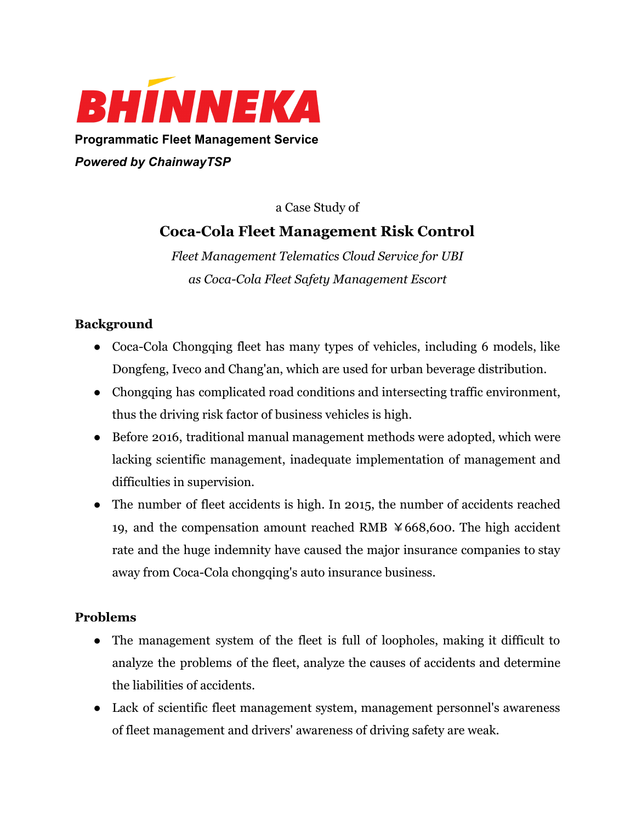

**Programmatic Fleet Management Service**

*Powered by ChainwayTSP*

a Case Study of

# **Coca-Cola Fleet Management Risk Control**

*Fleet Management Telematics Cloud Service for UBI as Coca-Cola Fleet Safety Management Escort*

## **Background**

- Coca-Cola Chongqing fleet has many types of vehicles, including 6 models, like Dongfeng, Iveco and Chang'an, which are used for urban beverage distribution.
- Chongqing has complicated road conditions and intersecting traffic environment, thus the driving risk factor of business vehicles is high.
- Before 2016, traditional manual management methods were adopted, which were lacking scientific management, inadequate implementation of management and difficulties in supervision.
- The number of fleet accidents is high. In 2015, the number of accidents reached 19, and the compensation amount reached RMB  $\angle$  668,600. The high accident rate and the huge indemnity have caused the major insurance companies to stay away from Coca-Cola chongqing's auto insurance business.

## **Problems**

- The management system of the fleet is full of loopholes, making it difficult to analyze the problems of the fleet, analyze the causes of accidents and determine the liabilities of accidents.
- Lack of scientific fleet management system, management personnel's awareness of fleet management and drivers' awareness of driving safety are weak.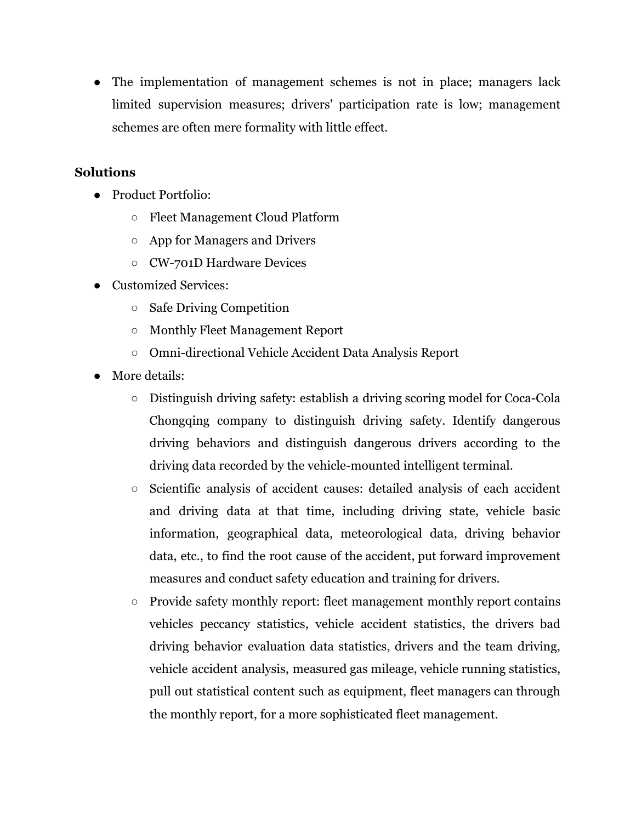The implementation of management schemes is not in place; managers lack limited supervision measures; drivers' participation rate is low; management schemes are often mere formality with little effect.

#### **Solutions**

- Product Portfolio:
	- Fleet Management Cloud Platform
	- App for Managers and Drivers
	- CW-701D Hardware Devices
- Customized Services:
	- Safe Driving Competition
	- Monthly Fleet Management Report
	- Omni-directional Vehicle Accident Data Analysis Report
- More details:
	- Distinguish driving safety: establish a driving scoring model for Coca-Cola Chongqing company to distinguish driving safety. Identify dangerous driving behaviors and distinguish dangerous drivers according to the driving data recorded by the vehicle-mounted intelligent terminal.
	- Scientific analysis of accident causes: detailed analysis of each accident and driving data at that time, including driving state, vehicle basic information, geographical data, meteorological data, driving behavior data, etc., to find the root cause of the accident, put forward improvement measures and conduct safety education and training for drivers.
	- Provide safety monthly report: fleet management monthly report contains vehicles peccancy statistics, vehicle accident statistics, the drivers bad driving behavior evaluation data statistics, drivers and the team driving, vehicle accident analysis, measured gas mileage, vehicle running statistics, pull out statistical content such as equipment, fleet managers can through the monthly report, for a more sophisticated fleet management.